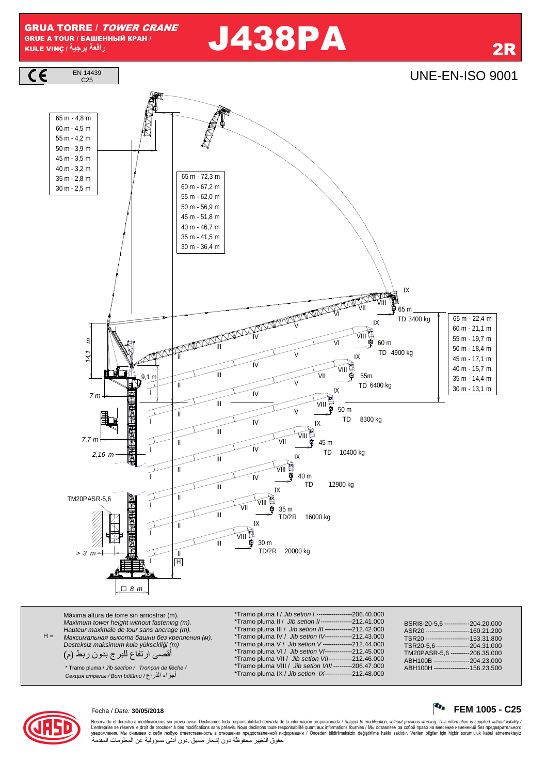GRUA TORRE / TOWER CRANE GRUE A TOUR / БАШЕННЫЙ КРАН / KULE VINÇ **/ -**

# **را** J438PA 2R



| $H =$ | Máxima altura de torre sin arriostrar (m).<br>Maximum tower height without fastening (m).<br>Hauteur maximale de tour sans ancrage (m).<br>Максимальная высота башни без крепления (м).<br>Desteksiz maksimum kule yüksekliği (m)<br>أقصىي ارتفاع للبرج بدون ربط (م)<br>* Tramo pluma / Jib section / Tronçon de flèche /<br>أجزاء الذراع/ Секция стрелы / Вот bölümü /۶ | *Tramo pluma I / Jib setion I -----------------206.40.000<br>*Tramo pluma II / Jib setion II----------------212.41.000<br>*Tramo pluma III / Jib setion III -------------212.42.000<br>*Tramo pluma IV / Jib setion IV-------------212.43.000<br>*Tramo pluma V / Jib setion V--------------212.44.000<br>*Tramo pluma VI / Jib setion VI-------------212.45.000<br>*Tramo pluma VII / Jib setion VII-----------212.46.000<br>*Tramo pluma VIII / Jib setion VIII---------206.47.000<br>*Tramo pluma IX / Jib setion IX-------------212.48.000 | BSRI8-20-5.6 ------------204.20.000<br>ASR20---------------------160.21.200<br>TSR20---------------------153.31.800<br>TSR20-5.6----------------204.31.000<br>TM20PASR-5.6 ---------206.35.000<br>ABH100B -----------------204.23.000<br>ABH100H -----------------156.23.500 |
|-------|--------------------------------------------------------------------------------------------------------------------------------------------------------------------------------------------------------------------------------------------------------------------------------------------------------------------------------------------------------------------------|------------------------------------------------------------------------------------------------------------------------------------------------------------------------------------------------------------------------------------------------------------------------------------------------------------------------------------------------------------------------------------------------------------------------------------------------------------------------------------------------------------------------------------------------|------------------------------------------------------------------------------------------------------------------------------------------------------------------------------------------------------------------------------------------------------------------------------|
|-------|--------------------------------------------------------------------------------------------------------------------------------------------------------------------------------------------------------------------------------------------------------------------------------------------------------------------------------------------------------------------------|------------------------------------------------------------------------------------------------------------------------------------------------------------------------------------------------------------------------------------------------------------------------------------------------------------------------------------------------------------------------------------------------------------------------------------------------------------------------------------------------------------------------------------------------|------------------------------------------------------------------------------------------------------------------------------------------------------------------------------------------------------------------------------------------------------------------------------|





Reservado el derecho a modificaciones sin previo aviso. Declinamos toda responsabilidad derivada de la información proporcionada / Subject to modification, without previous warning. This information is supplied without lia L'entreprise se réserve le droit de procéder à des modifications sans préavis. Nous déclinons toure exponsabilité quant aux informations fournies / Мы оставляем за собой право на внесение изменений без предварительного<br>ув حقوق التغيير محفوظة دون إشعار مسبق دون أدنى مسؤولية عن المعلومات المقدمة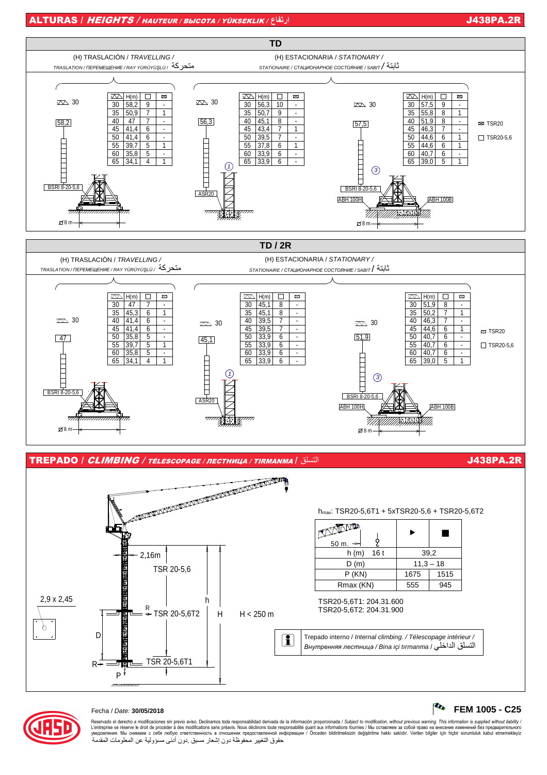$\sim$  FEM 1005 - C25





### Fecha / Date: 30/05/2018

Reservado el derecho a modificaciones sin previo aviso. Declinamos toda responsabilidad derivada de la información proporcionada / Subject to modification, without previous warning. This information is supplied without lia L'entreprise se réserve le droit de procéder à des modifications sans préavis. Nous déclinons toute responsabilité quant aux informations fournies / Мы оставляем за собой право на внесение изменений без предварительного<br>у حقوق التغيير محفوظة دون إشعار مسبق دون أدنى مسؤولية عن المعلومات المقدمة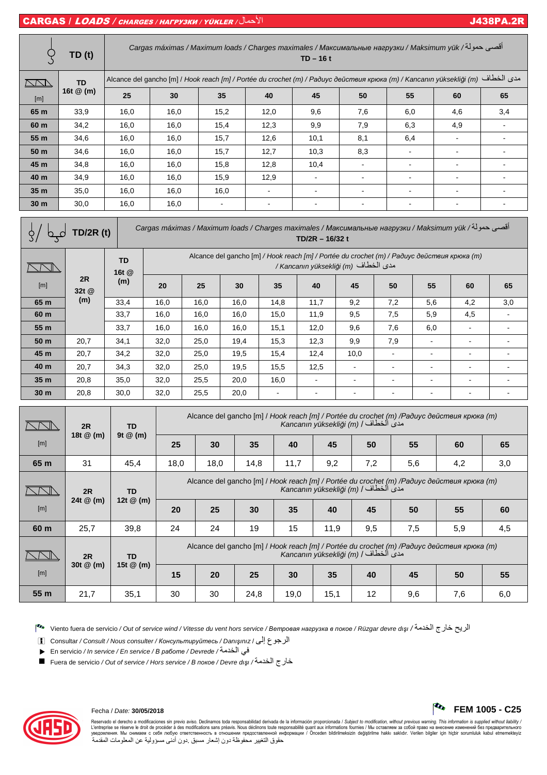# CARGAS / LOADS / CHARGES / НАГРУЗКИ / YÜKLER / ل7ا J438PA.2R

|                                                                                                                                       | <b>TD (t)</b>                                                                                                                                  | أقصى حمولة/ Cargas máximas / Maximum loads / Charges maximales / Максимальные нагрузки / Maksimum yük<br>$TD - 16t$ |                                                                                                                                     |     |                |                |                |                |                |    |                |     |
|---------------------------------------------------------------------------------------------------------------------------------------|------------------------------------------------------------------------------------------------------------------------------------------------|---------------------------------------------------------------------------------------------------------------------|-------------------------------------------------------------------------------------------------------------------------------------|-----|----------------|----------------|----------------|----------------|----------------|----|----------------|-----|
| $\sum\sum\limits$                                                                                                                     | مدى الخطاف (Alcance del gancho [m] / Hook reach [m] / Portée du crochet (m) / Радиус действия крюка (m) / Kancanın yüksekliği (m)<br><b>TD</b> |                                                                                                                     |                                                                                                                                     |     |                |                |                |                |                |    |                |     |
| [m]                                                                                                                                   | 16t $@$ (m)                                                                                                                                    | 25                                                                                                                  | 30                                                                                                                                  |     | 35             | 40             | 45             | 50             | 55             |    | 60             | 65  |
| 65 m                                                                                                                                  | 33,9                                                                                                                                           | 16,0                                                                                                                | 16,0                                                                                                                                |     | 15,2           | 12,0           | 9,6            | 7,6            | 6,0            |    | 4,6            | 3,4 |
| 60 m                                                                                                                                  | 34,2                                                                                                                                           | 16,0                                                                                                                | 16,0                                                                                                                                |     | 15,4           | 12,3           | 9,9            | 7,9            | 6,3            |    | 4,9            |     |
| 55 m                                                                                                                                  | 34,6                                                                                                                                           | 16.0                                                                                                                | 16,0                                                                                                                                |     | 15,7           | 12,6           | 10,1           | 8,1            | 6,4            |    | $\sim$         |     |
| 50 m                                                                                                                                  | 34,6                                                                                                                                           | 16,0                                                                                                                | 16,0                                                                                                                                |     | 15,7           | 12,7           | 10,3           | 8,3            |                |    |                |     |
| 45 m                                                                                                                                  | 34,8                                                                                                                                           | 16,0                                                                                                                | 16,0                                                                                                                                |     | 15,8           | 12,8           | 10,4           |                | $\blacksquare$ |    | $\blacksquare$ |     |
| 40 m                                                                                                                                  | 34,9                                                                                                                                           | 16,0                                                                                                                | 16,0                                                                                                                                |     | 15,9           | 12,9           | $\blacksquare$ | $\blacksquare$ | $\blacksquare$ |    | ۰              |     |
| 35 m                                                                                                                                  | 35,0                                                                                                                                           | 16,0                                                                                                                | 16,0                                                                                                                                |     | 16,0           |                |                |                |                |    | $\blacksquare$ |     |
| 30 <sub>m</sub>                                                                                                                       | 30,0                                                                                                                                           | 16,0                                                                                                                | 16,0                                                                                                                                |     | $\blacksquare$ | $\blacksquare$ | $\blacksquare$ |                | $\blacksquare$ |    |                |     |
| أقصى حمولة/ Cargas máximas / Maximum loads / Charges maximales / Максимальные нагрузки / Maksimum yük<br>TD/2R (t)<br>TD/2R - 16/32 t |                                                                                                                                                |                                                                                                                     |                                                                                                                                     |     |                |                |                |                |                |    |                |     |
|                                                                                                                                       |                                                                                                                                                | <b>TD</b><br>16t @                                                                                                  | Alcance del gancho [m] / Hook reach [m] / Portée du crochet (m) / Paduyc действия крюка (m)<br>/ Kancanın yüksekliği (m) مدى الخطاف |     |                |                |                |                |                |    |                |     |
| [m]                                                                                                                                   | 2R<br>32t @                                                                                                                                    | (m)                                                                                                                 | 20                                                                                                                                  | 25  | 30             | 35             | 40             | 45             | 50             | 55 | 60             | 65  |
| 65 m                                                                                                                                  | (m)                                                                                                                                            | 33 <sub>1</sub>                                                                                                     | 160                                                                                                                                 | 160 | 160            | $1A$ $R$       | 117            | 02             | 72             | 56 | $\Lambda$ 2    | 30  |

**65 m** | <sup>(iii</sup>) | 33,4 | 16,0 | 16,0 | 16,0 | 14,8 | 11,7 | 9,2 | 7,2 | 5,6 | 4,2 | 3,0 **60 m** | 33,7 | 16,0 | 16,0 | 16,0 | 15,0 | 11,9 | 9,5 | 7,5 | 5,9 | 4,5 | -**55 m** 33,7 16,0 16,0 16,0 15,1 12,0 9,6 7,6 6,0 - - **50 m** | 20,7 | 34,1 | 32,0 | 25,0 | 19,4 | 15,3 | 12,3 | 9,9 | 7,9 | - | - | -

| 45 m            | 20,7            | 34,2                                 | 32,0 | 25,0                                                                                                                               | 19,5      | 15,4                                                                                                                                | 12,4                     | 10,0 |     |     |     |    |    |    |
|-----------------|-----------------|--------------------------------------|------|------------------------------------------------------------------------------------------------------------------------------------|-----------|-------------------------------------------------------------------------------------------------------------------------------------|--------------------------|------|-----|-----|-----|----|----|----|
| 40 m            | 20,7            | 34,3                                 | 32,0 | 25,0                                                                                                                               | 19,5      | 15,5                                                                                                                                | 12,5                     |      |     |     |     |    |    |    |
| 35 m            | 20,8            | 35,0                                 | 32,0 | 25,5                                                                                                                               | 20,0      | 16,0                                                                                                                                |                          |      |     |     |     |    |    |    |
| 30 <sub>m</sub> | 20,8            | 30,0                                 | 32,0 | 25,5                                                                                                                               | 20,0      |                                                                                                                                     | $\overline{\phantom{0}}$ |      |     |     |     |    |    |    |
|                 | 2R<br>18t @ (m) | <b>TD</b><br>$9t \n\circledcirc$ (m) |      | Alcance del gancho [m] / Hook reach [m] / Portée du crochet (m) /Paðuyc действия крюка (m)<br>Kancanın yüksekliği (m) / الخطاف /   |           |                                                                                                                                     |                          |      |     |     |     |    |    |    |
| [m]             |                 |                                      |      | 25                                                                                                                                 | 30        | 35                                                                                                                                  | 40                       | 45   | 50  | 55  | 60  | 65 |    |    |
| 65 m            | 31              | 45,4                                 | 18,0 | 18,0                                                                                                                               | 14,8      | 11,7                                                                                                                                | 9,2                      | 7,2  | 5,6 | 4,2 | 3,0 |    |    |    |
|                 | 2R              | <b>TD</b>                            |      | Alcance del gancho [m] / Hook reach [m] / Portée du crochet (m) /Paðuyc действия крюка (m)<br>Kancanın yüksekliği (m) / مدى الخطاف |           |                                                                                                                                     |                          |      |     |     |     |    |    |    |
| [m]             | 24t @ (m)       |                                      |      |                                                                                                                                    | 12t @ (m) | 20                                                                                                                                  | 25                       | 30   | 35  | 40  | 45  | 50 | 55 | 60 |
| 60 m            | 25,7            | 39,8                                 | 24   | 24                                                                                                                                 | 19        | 15                                                                                                                                  | 11,9                     | 9,5  | 7,5 | 5,9 | 4,5 |    |    |    |
|                 | 2R<br><b>TD</b> |                                      |      |                                                                                                                                    |           | Alcance del gancho [m] / Hook reach [m] / Portée du crochet (m) / Paduyc deŭcmeus крюка (m)<br>Kancanın yüksekliği (m) / مدى الخطاف |                          |      |     |     |     |    |    |    |
| [m]             | 30t @ (m)       | 15t $@$ (m)                          |      |                                                                                                                                    |           |                                                                                                                                     |                          |      |     |     |     |    |    |    |
|                 |                 |                                      | 15   | 20                                                                                                                                 | 25        | 30                                                                                                                                  | 35                       | 40   | 45  | 50  | 55  |    |    |    |

**55 m** | 21,7 | 35,1 | 30 | 30 | 24,8 | 19,0 | 15,1 | 12 | 9,6 | 7,6 | 6,0

Viento fuera de servicio / Out of service wind / Vitesse du vent hors service / *Ветровая нагрузка <sup>в</sup> покое* / Rüzgar devre dı*ş*ı / 8ا رج5 9:ا

i Consultar / Consult / Nous consulter / *Консультируйтесь* / Danı*ş*ınız / #إ ع1ا

· En servicio / In service / En service / *<sup>В</sup> работе* / Devrede / 8ا 4;

Fuera de servicio / Out of service / Hors service / *<sup>В</sup> покое* / Devre dı*ş*ı / 8ا رج5



Reservado el derecho a modificaciones sin previo aviso. Declinamos toda responsabilidad derivada de la información proporcionada / Subject to modification, without previous warning. This information is supplied without lia L'entreprise se réserve le droit de procéder à des modifications sans préavis. Nous déclinons toure exponsabilité quant aux informations fournies / Мы оставляем за собой право на внесение изменений без предварительного<br>ув حقوق التغيير محفوظة دون إشعار مسبق دون أدنى مسؤولية عن المعلومات المقدمة

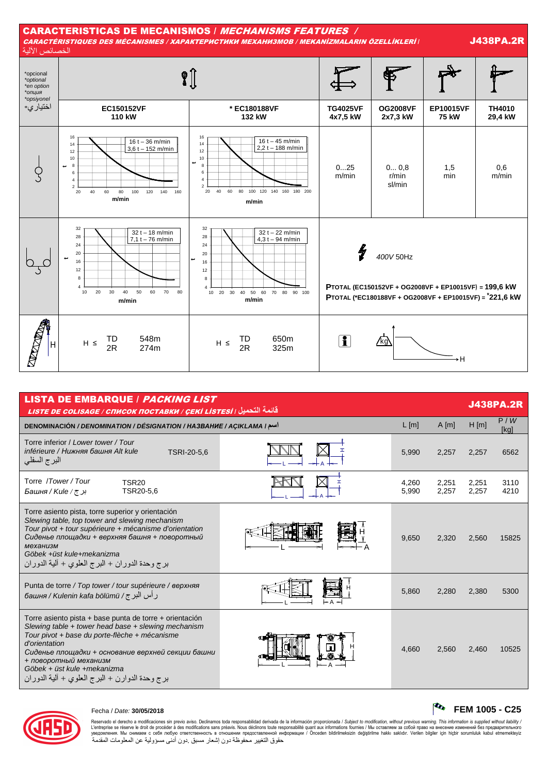

| <b>LISTA DE EMBARQUE / PACKING LIST</b><br><u> قائمة التحميل ، LISTE DE COLISAGE / СПИСОК ПОСТАВКИ / ÇEKİ LISTESİ</u>                                                                                                                                                                                                                           |         |                |                |                | <b>J438PA.2R</b> |  |  |  |  |  |
|-------------------------------------------------------------------------------------------------------------------------------------------------------------------------------------------------------------------------------------------------------------------------------------------------------------------------------------------------|---------|----------------|----------------|----------------|------------------|--|--|--|--|--|
| <b>DENOMINACIÓN / DENOMINATION / DÉSIGNATION / HA3BAHUE / AÇIKLAMA / I</b>                                                                                                                                                                                                                                                                      | $L$ [m] | $A$ [m]        | $H$ [m]        | P/W<br>[kg]    |                  |  |  |  |  |  |
| Torre inferior / Lower tower / Tour<br>inférieure / Нижняя башня Alt kule<br>TSRI-20-5,6<br>البرج السفلي                                                                                                                                                                                                                                        |         | 5,990          | 2,257          | 2,257          | 6562             |  |  |  |  |  |
| Torre /Tower/Tour<br><b>TSR20</b><br>TSR20-5.6<br>بر <i>ج / Башня / Киle</i>                                                                                                                                                                                                                                                                    |         | 4,260<br>5,990 | 2,251<br>2,257 | 2,251<br>2,257 | 3110<br>4210     |  |  |  |  |  |
| Torre asiento pista, torre superior y orientación<br>Slewing table, top tower and slewing mechanism<br>Tour pivot + tour supérieure + mécanisme d'orientation<br>Сиденье площадки + верхняя башня + поворотный<br>механизм<br>Göbek +üst kule+mekanizma<br>برج وحدة الدوران + البرج العلوي + ألية الدوران                                       |         | 9,650          | 2,320          | 2,560          | 15825            |  |  |  |  |  |
| Punta de torre / Top tower / tour supérieure / верхняя<br>رأس البرج/ башня / Kulenin kafa bölümü                                                                                                                                                                                                                                                |         | 5,860          | 2,280          | 2,380          | 5300             |  |  |  |  |  |
| Torre asiento pista + base punta de torre + orientación<br>Slewing table + tower head base + slewing mechanism<br>Tour pivot + base du porte-flèche + mécanisme<br>d'orientation<br>Сиденье площадки + основание верхней секции башни<br>+ поворотный механизм<br>Göbek + üst kule +mekanizma<br>برج وحدة الدوارن + البرج العلوي + ألية الدوران |         | 4,660          | 2,560          | 2.460          | 10525            |  |  |  |  |  |



# Fecha / Date: **30/05/2018 FEM 1005 - C25**

Reservado el derecho a modificaciones sin previo aviso. Declinamos toda responsabilidad derivada de la información proporcionada / Subject to modification, without previous warning. This information is supplied without lia L'entreprise se réserve le droit de procéder à des modifications sans préavis. Nous déclinons toure exponsabilité quant aux informations fournies / Мы оставляем за собой право на внесение изменений без предварительного<br>ув حقوق التغيير محفوظة دون إشعار مسبق دون أدنى مسؤولية عن المعلومات المقدمة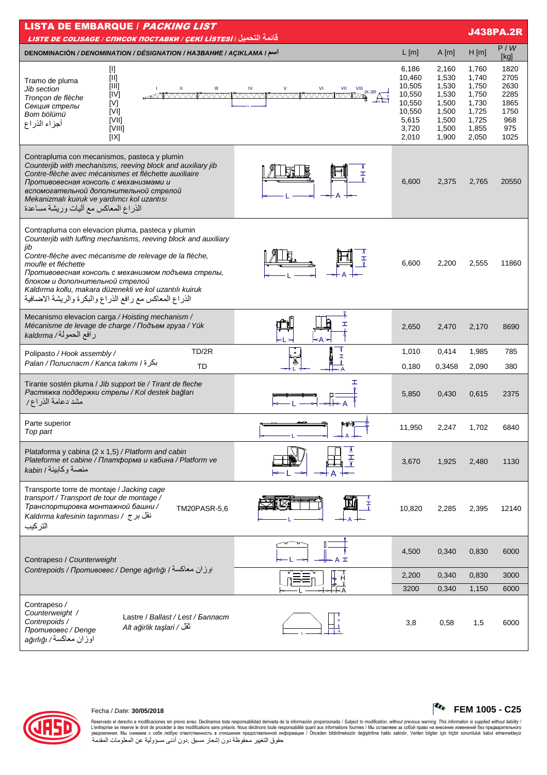| <b>LISTA DE EMBARQUE / PACKING LIST</b><br><b>J438PA.2R</b><br>قائمة التحميل <i>( LISTE DE COLISAGE / СПИСОК ПОСТАВКИ / ÇEKİ LİSTESİ</i>                                                                                                                                                                                                                                                                                                                                                                        |                                                                                    |                                                                               |                                                                               |                                                                    |  |  |  |  |  |
|-----------------------------------------------------------------------------------------------------------------------------------------------------------------------------------------------------------------------------------------------------------------------------------------------------------------------------------------------------------------------------------------------------------------------------------------------------------------------------------------------------------------|------------------------------------------------------------------------------------|-------------------------------------------------------------------------------|-------------------------------------------------------------------------------|--------------------------------------------------------------------|--|--|--|--|--|
| DENOMINACIÓN / DENOMINATION / DÉSIGNATION / HA3BAHUE / AÇIKLAMA I                                                                                                                                                                                                                                                                                                                                                                                                                                               | L[m]                                                                               | A[m]                                                                          | H[m]                                                                          | P/W<br>[kg]                                                        |  |  |  |  |  |
| [I]<br>$[  ] % \begin{center} % \includegraphics[width=\linewidth]{imagesSupplemental_3.png} % \end{center} % \caption { % Our method can be used for the proposed method. % } % \label{fig:example} %$<br>Tramo de pluma<br>[III]<br>Ш<br>$\vee$<br>VI<br><b>IV</b><br><b>Jib section</b><br>VII<br>$\frac{VIII}{V}$ IX-3R $\Delta \frac{+}{+}$<br>[IV]<br><u>AMMAANANIMAANANIMAANANIMAANANI</u><br>Tronçon de flèche<br>[V]<br>Секция стрелы<br>IVII<br>Bom bölümü<br>[VII]<br>أجزاء الذراع<br>[VIII]<br>[IX] | 6,186<br>10,460<br>10,505<br>10,550<br>10,550<br>10,550<br>5,615<br>3,720<br>2,010 | 2,160<br>1,530<br>1,530<br>1,530<br>1,500<br>1,500<br>1,500<br>1,500<br>1,900 | 1,760<br>1,740<br>1,750<br>1,750<br>1,730<br>1,725<br>1,725<br>1,855<br>2,050 | 1820<br>2705<br>2630<br>2285<br>1865<br>1750<br>968<br>975<br>1025 |  |  |  |  |  |
| Contrapluma con mecanismos, pasteca y plumin<br>Counterjib with mechanisms, reeving block and auxiliary jib<br>Contre-flèche avec mécanismes et fléchette auxiliaire<br>Ŧ<br>Противовесная консоль с механизмами и<br>вспомогательной дополнительной стрелой<br>Mekanizmalı kuiruk ve yardımcı kol uzantısı<br>الذراع المعاكس مع أليات وريشة مساعدة                                                                                                                                                             | 6,600                                                                              | 2,375                                                                         | 2,765                                                                         | 20550                                                              |  |  |  |  |  |
| Contrapluma con elevacion pluma, pasteca y plumin<br>Counterjib with luffing mechanisms, reeving block and auxiliary<br>jib<br>Contre-flèche avec mécanisme de relevage de la flèche,<br>moufle et fléchette<br>Противовесная консоль с механизмом подъема стрелы,<br>блоком и дополнительной стрелой<br>Kaldırma kollu, makara düzenekli ve kol uzantılı kuiruk<br>الذراع المعاكس مع رافع الذراع والبكرة والريشة الاضافية                                                                                      | 6,600                                                                              | 2,200                                                                         | 2,555                                                                         | 11860                                                              |  |  |  |  |  |
| Mecanismo elevacion carga / Hoisting mechanism /<br>I<br>Mécanisme de levage de charge / Подъем груза / Yük<br>رافع الحمولة/ kaldırma<br>≤A >                                                                                                                                                                                                                                                                                                                                                                   | 2,650                                                                              | 2,470                                                                         | 2,170                                                                         | 8690                                                               |  |  |  |  |  |
| TD/2R<br>Polipasto / Hook assembly /<br>$\pmb{\alpha}$<br>I<br>بكرة / Palan / Полиспаст / Kanca takımı<br><b>TD</b>                                                                                                                                                                                                                                                                                                                                                                                             | 1,010<br>0,180                                                                     | 0,414<br>0,3458                                                               | 1,985<br>2,090                                                                | 785<br>380                                                         |  |  |  |  |  |
| Ŧ.<br>Tirante sostén pluma / Jib support tie / Tirant de fleche<br>Растяжка поддержки стрелы / Kol destek bağları<br>مشد دعامة الذراع/                                                                                                                                                                                                                                                                                                                                                                          | 5,850                                                                              | 0,430                                                                         | 0,615                                                                         | 2375                                                               |  |  |  |  |  |
| Parte superior<br>طودو<br>Top part<br>$+$ A $+$                                                                                                                                                                                                                                                                                                                                                                                                                                                                 | 11,950                                                                             | 2,247                                                                         | 1,702                                                                         | 6840                                                               |  |  |  |  |  |
| Plataforma y cabina (2 x 1,5) / Platform and cabin<br>Plateforme et cabine / Платформа и кабина / Platform ve<br>منصة وكابينة / kabin                                                                                                                                                                                                                                                                                                                                                                           | 3,670                                                                              | 1,925                                                                         | 2,480                                                                         | 1130                                                               |  |  |  |  |  |
| Transporte torre de montaje / Jacking cage<br>transport / Transport de tour de montage /<br>Транспортировка монтажной башни /<br>TM20PASR-5,6<br>نقل بر ج / Kaldırma kafesinin taşınması<br>التركيب                                                                                                                                                                                                                                                                                                             | 10,820                                                                             | 2,285                                                                         | 2,395                                                                         | 12140                                                              |  |  |  |  |  |
| Contrapeso / Counterweight                                                                                                                                                                                                                                                                                                                                                                                                                                                                                      | 4,500                                                                              | 0,340                                                                         | 0,830                                                                         | 6000                                                               |  |  |  |  |  |
| اوزان معاكسة / Contrepoids / Противовес / Denge ağırlığı                                                                                                                                                                                                                                                                                                                                                                                                                                                        | 2,200                                                                              | 0,340                                                                         | 0,830                                                                         | 3000                                                               |  |  |  |  |  |
|                                                                                                                                                                                                                                                                                                                                                                                                                                                                                                                 | 3200                                                                               | 0,340                                                                         | 1,150                                                                         | 6000                                                               |  |  |  |  |  |
| Contrapeso /<br>Counterweight /<br>Lastre / Ballast / Lest / Балласт<br>Contrepoids /<br>ٹقل / Alt ağirlik taşlari<br>Противовес / Denge<br>اوزان معاكسة/ ağırlığı                                                                                                                                                                                                                                                                                                                                              | 3,8                                                                                | 0,58                                                                          | 1,5                                                                           | 6000                                                               |  |  |  |  |  |



## Fecha / Date: 30/05/2018

 $\sqrt{\frac{A_{\bullet}}{A_{\bullet}}}$  FEM 1005 - C25 . مصدر المسلم المسلم المسلم المسلم المسلم المسلم المسلم المسلم المسلم المسلم المسلم المسلم المسلم المسلم المسلم<br>- Reservation and inference and inference in provide and inference is and inference and inference and infere